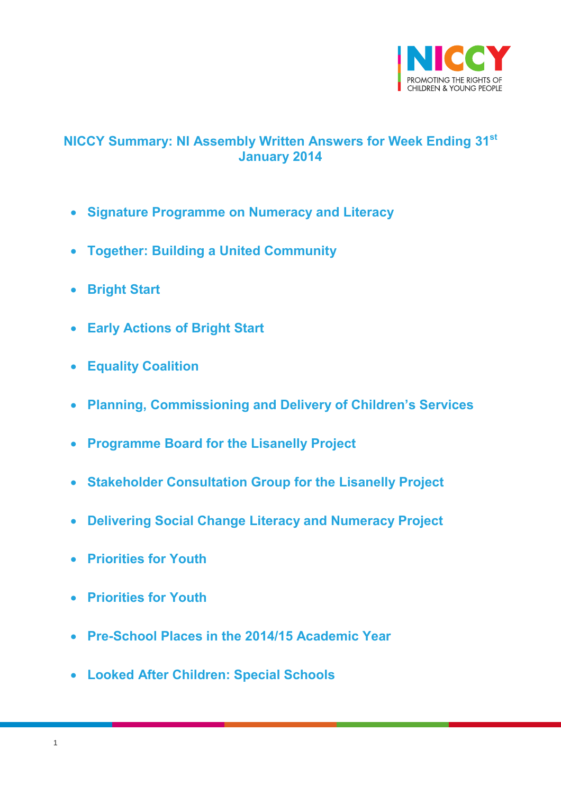

# <span id="page-0-0"></span>**NICCY Summary: NI Assembly Written Answers for Week Ending 31st January 2014**

- **[Signature Programme on Numeracy and Literacy](#page-3-0)**
- **[Together: Building a United Community](#page-3-1)**
- **[Bright Start](#page-3-2)**
- **[Early Actions of Bright Start](#page-4-0)**
- **[Equality Coalition](#page-5-0)**
- **[Planning, Commissioning and Delivery of Children's Services](#page-5-1)**
- **[Programme Board for the Lisanelly Project](#page-6-0)**
- **[Stakeholder Consultation Group for the Lisanelly Project](#page-6-1)**
- **[Delivering Social Change Literacy and Numeracy Project](#page-7-0)**
- **[Priorities for Youth](#page-7-1)**
- **[Priorities for Youth](#page-8-0)**
- **[Pre-School Places in the 2014/15 Academic Year](#page-8-1)**
- **[Looked After Children: Special Schools](#page-8-2)**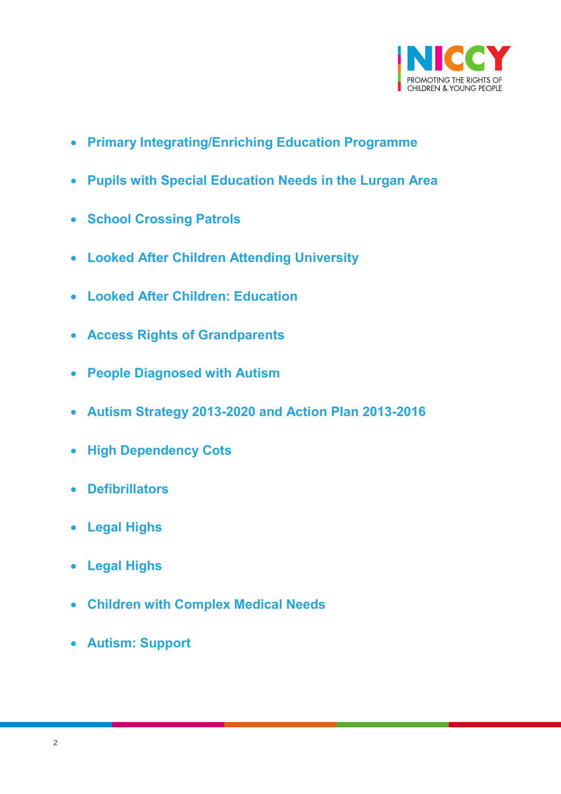

- **[Primary Integrating/Enriching Education Programme](#page-9-0)**
- **[Pupils with Special Education Needs in the Lurgan Area](#page-10-0)**
- **[School Crossing Patrols](#page-10-1)**
- **[Looked After Children Attending](#page-11-0) University**
- **[Looked After Children: Education](#page-12-0)**
- **[Access Rights of Grandparents](#page-14-0)**
- **[People Diagnosed with Autism](#page-14-1)**
- **[Autism Strategy 2013-2020 and Action Plan 2013-2016](#page-15-0)**
- **[High Dependency Cots](#page-16-0)**
- **[Defibrillators](#page-17-0)**
- **[Legal Highs](#page-17-1)**
- **[Legal Highs](#page-17-2)**
- **[Children with Complex Medical Needs](#page-19-0)**
- **[Autism: Support](#page-19-1)**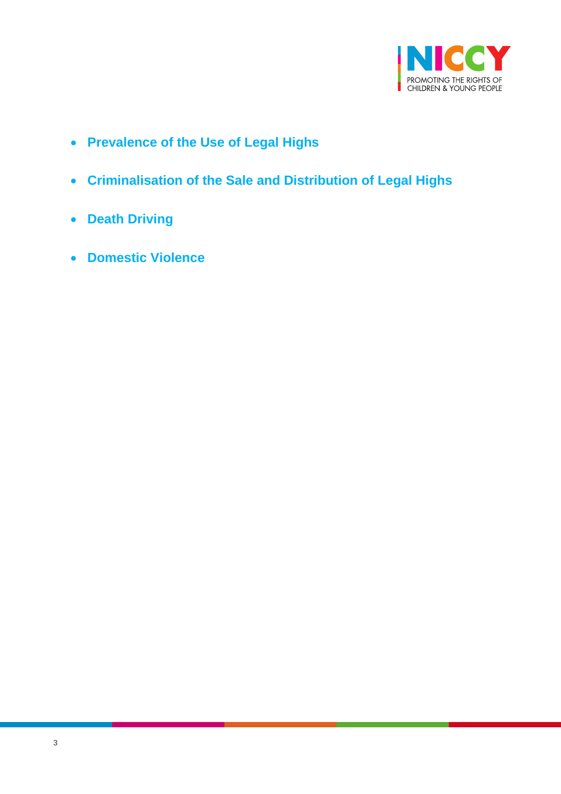

- **[Prevalence of the Use of Legal Highs](#page-20-0)**
- **[Criminalisation of the Sale and Distribution of Legal Highs](#page-20-1)**
- **[Death Driving](#page-21-0)**
- **[Domestic Violence](#page-22-0)**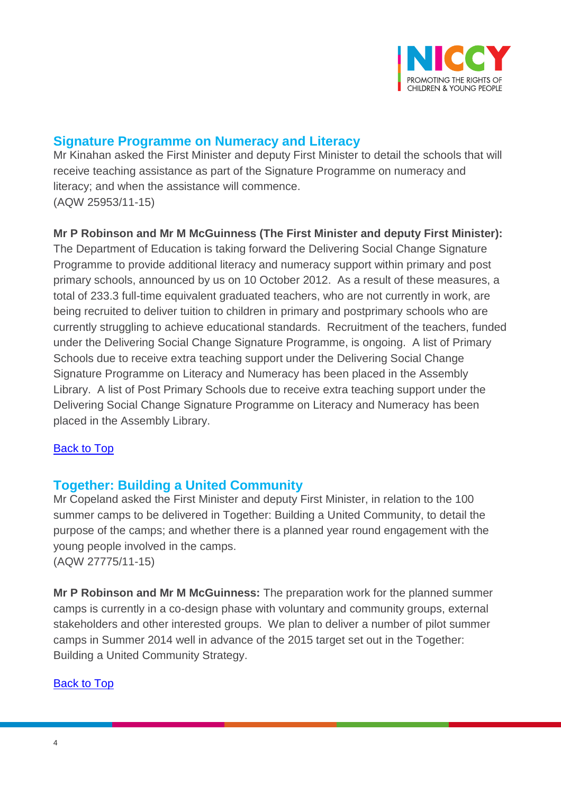

## <span id="page-3-0"></span>**Signature Programme on Numeracy and Literacy**

Mr Kinahan asked the First Minister and deputy First Minister to detail the schools that will receive teaching assistance as part of the Signature Programme on numeracy and literacy; and when the assistance will commence. (AQW 25953/11-15)

#### **Mr P Robinson and Mr M McGuinness (The First Minister and deputy First Minister):**

The Department of Education is taking forward the Delivering Social Change Signature Programme to provide additional literacy and numeracy support within primary and post primary schools, announced by us on 10 October 2012. As a result of these measures, a total of 233.3 full-time equivalent graduated teachers, who are not currently in work, are being recruited to deliver tuition to children in primary and postprimary schools who are currently struggling to achieve educational standards. Recruitment of the teachers, funded under the Delivering Social Change Signature Programme, is ongoing. A list of Primary Schools due to receive extra teaching support under the Delivering Social Change Signature Programme on Literacy and Numeracy has been placed in the Assembly Library. A list of Post Primary Schools due to receive extra teaching support under the Delivering Social Change Signature Programme on Literacy and Numeracy has been placed in the Assembly Library.

#### [Back to Top](#page-0-0)

### <span id="page-3-1"></span>**Together: Building a United Community**

Mr Copeland asked the First Minister and deputy First Minister, in relation to the 100 summer camps to be delivered in Together: Building a United Community, to detail the purpose of the camps; and whether there is a planned year round engagement with the young people involved in the camps. (AQW 27775/11-15)

<span id="page-3-2"></span>**Mr P Robinson and Mr M McGuinness:** The preparation work for the planned summer camps is currently in a co-design phase with voluntary and community groups, external stakeholders and other interested groups. We plan to deliver a number of pilot summer camps in Summer 2014 well in advance of the 2015 target set out in the Together: Building a United Community Strategy.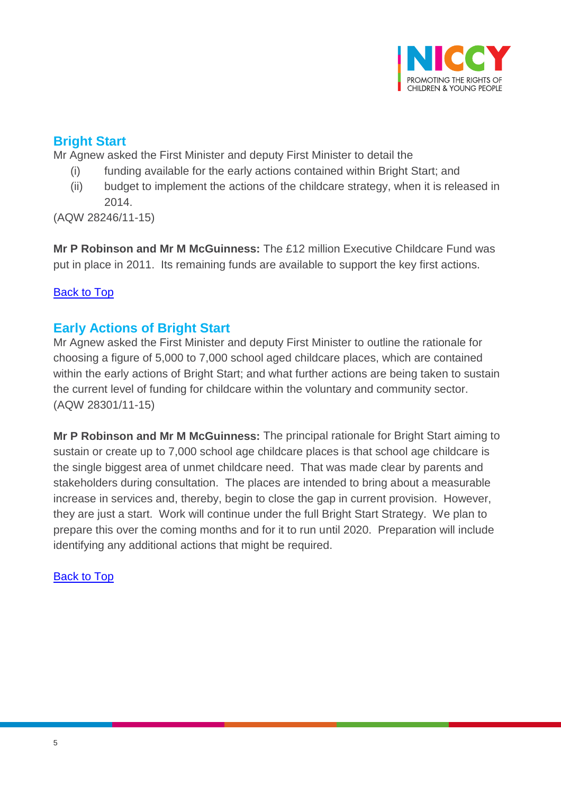

# **Bright Start**

Mr Agnew asked the First Minister and deputy First Minister to detail the

- (i) funding available for the early actions contained within Bright Start; and
- (ii) budget to implement the actions of the childcare strategy, when it is released in 2014.

(AQW 28246/11-15)

**Mr P Robinson and Mr M McGuinness:** The £12 million Executive Childcare Fund was put in place in 2011. Its remaining funds are available to support the key first actions.

### **[Back to Top](#page-0-0)**

### <span id="page-4-0"></span>**Early Actions of Bright Start**

Mr Agnew asked the First Minister and deputy First Minister to outline the rationale for choosing a figure of 5,000 to 7,000 school aged childcare places, which are contained within the early actions of Bright Start; and what further actions are being taken to sustain the current level of funding for childcare within the voluntary and community sector. (AQW 28301/11-15)

**Mr P Robinson and Mr M McGuinness:** The principal rationale for Bright Start aiming to sustain or create up to 7,000 school age childcare places is that school age childcare is the single biggest area of unmet childcare need. That was made clear by parents and stakeholders during consultation. The places are intended to bring about a measurable increase in services and, thereby, begin to close the gap in current provision. However, they are just a start. Work will continue under the full Bright Start Strategy. We plan to prepare this over the coming months and for it to run until 2020. Preparation will include identifying any additional actions that might be required.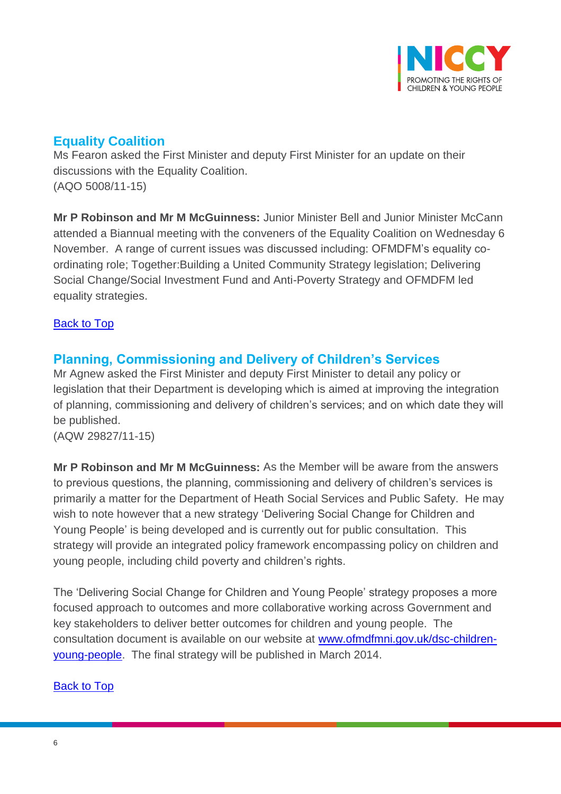

# <span id="page-5-0"></span>**Equality Coalition**

Ms Fearon asked the First Minister and deputy First Minister for an update on their discussions with the Equality Coalition. (AQO 5008/11-15)

**Mr P Robinson and Mr M McGuinness:** Junior Minister Bell and Junior Minister McCann attended a Biannual meeting with the conveners of the Equality Coalition on Wednesday 6 November. A range of current issues was discussed including: OFMDFM's equality coordinating role; Together:Building a United Community Strategy legislation; Delivering Social Change/Social Investment Fund and Anti-Poverty Strategy and OFMDFM led equality strategies.

### [Back to](#page-0-0) Top

## <span id="page-5-1"></span>**Planning, Commissioning and Delivery of Children's Services**

Mr Agnew asked the First Minister and deputy First Minister to detail any policy or legislation that their Department is developing which is aimed at improving the integration of planning, commissioning and delivery of children's services; and on which date they will be published.

(AQW 29827/11-15)

**Mr P Robinson and Mr M McGuinness:** As the Member will be aware from the answers to previous questions, the planning, commissioning and delivery of children's services is primarily a matter for the Department of Heath Social Services and Public Safety. He may wish to note however that a new strategy 'Delivering Social Change for Children and Young People' is being developed and is currently out for public consultation. This strategy will provide an integrated policy framework encompassing policy on children and young people, including child poverty and children's rights.

The 'Delivering Social Change for Children and Young People' strategy proposes a more focused approach to outcomes and more collaborative working across Government and key stakeholders to deliver better outcomes for children and young people. The consultation document is available on our website at [www.ofmdfmni.gov.uk/dsc-children](http://www.ofmdfmni.gov.uk/dsc-children-young-people)[young-people.](http://www.ofmdfmni.gov.uk/dsc-children-young-people) The final strategy will be published in March 2014.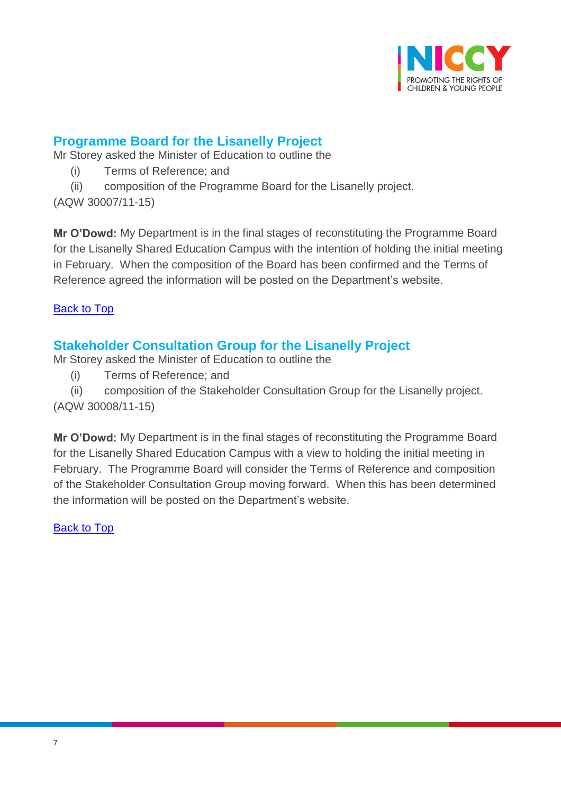

# <span id="page-6-0"></span>**Programme Board for the Lisanelly Project**

Mr Storey asked the Minister of Education to outline the

- (i) Terms of Reference; and
- (ii) composition of the Programme Board for the Lisanelly project.
- (AQW 30007/11-15)

**Mr O'Dowd:** My Department is in the final stages of reconstituting the Programme Board for the Lisanelly Shared Education Campus with the intention of holding the initial meeting in February. When the composition of the Board has been confirmed and the Terms of Reference agreed the information will be posted on the Department's website.

[Back to Top](#page-0-0)

## <span id="page-6-1"></span>**Stakeholder Consultation Group for the Lisanelly Project**

Mr Storey asked the Minister of Education to outline the

(i) Terms of Reference; and

(ii) composition of the Stakeholder Consultation Group for the Lisanelly project. (AQW 30008/11-15)

**Mr O'Dowd:** My Department is in the final stages of reconstituting the Programme Board for the Lisanelly Shared Education Campus with a view to holding the initial meeting in February. The Programme Board will consider the Terms of Reference and composition of the Stakeholder Consultation Group moving forward. When this has been determined the information will be posted on the Department's website.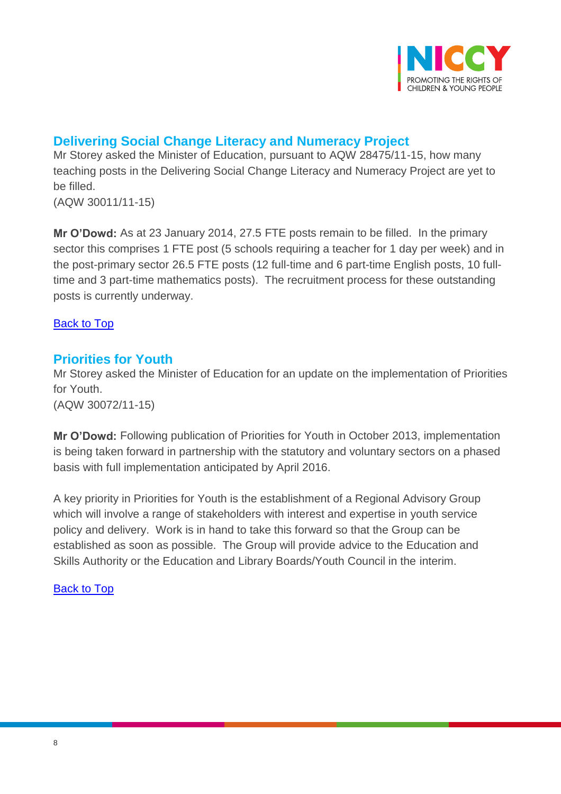

# <span id="page-7-0"></span>**Delivering Social Change Literacy and Numeracy Project**

Mr Storey asked the Minister of Education, pursuant to AQW 28475/11-15, how many teaching posts in the Delivering Social Change Literacy and Numeracy Project are yet to be filled. (AQW 30011/11-15)

**Mr O'Dowd:** As at 23 January 2014, 27.5 FTE posts remain to be filled. In the primary sector this comprises 1 FTE post (5 schools requiring a teacher for 1 day per week) and in the post-primary sector 26.5 FTE posts (12 full-time and 6 part-time English posts, 10 fulltime and 3 part-time mathematics posts). The recruitment process for these outstanding posts is currently underway.

#### [Back to Top](#page-0-0)

### <span id="page-7-1"></span>**Priorities for Youth**

Mr Storey asked the Minister of Education for an update on the implementation of Priorities for Youth.

(AQW 30072/11-15)

**Mr O'Dowd:** Following publication of Priorities for Youth in October 2013, implementation is being taken forward in partnership with the statutory and voluntary sectors on a phased basis with full implementation anticipated by April 2016.

A key priority in Priorities for Youth is the establishment of a Regional Advisory Group which will involve a range of stakeholders with interest and expertise in youth service policy and delivery. Work is in hand to take this forward so that the Group can be established as soon as possible. The Group will provide advice to the Education and Skills Authority or the Education and Library Boards/Youth Council in the interim.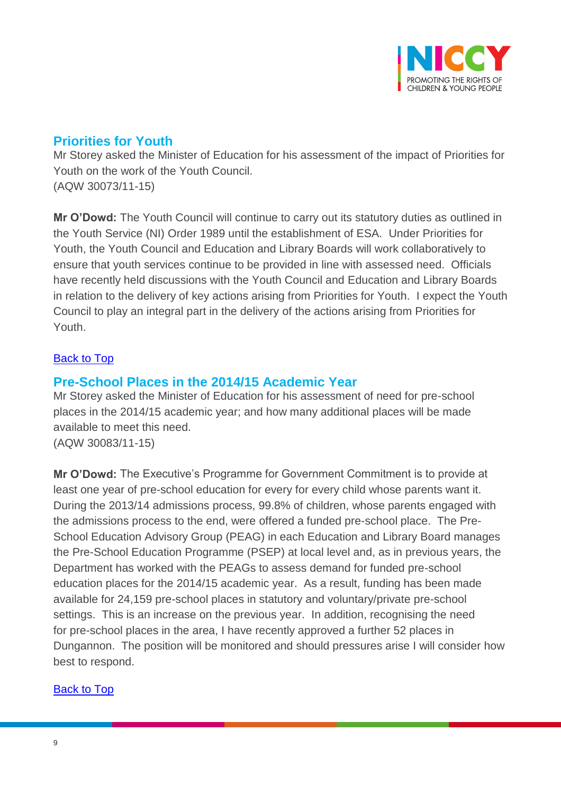

## <span id="page-8-0"></span>**Priorities for Youth**

Mr Storey asked the Minister of Education for his assessment of the impact of Priorities for Youth on the work of the Youth Council. (AQW 30073/11-15)

**Mr O'Dowd:** The Youth Council will continue to carry out its statutory duties as outlined in the Youth Service (NI) Order 1989 until the establishment of ESA. Under Priorities for Youth, the Youth Council and Education and Library Boards will work collaboratively to ensure that youth services continue to be provided in line with assessed need. Officials have recently held discussions with the Youth Council and Education and Library Boards in relation to the delivery of key actions arising from Priorities for Youth. I expect the Youth Council to play an integral part in the delivery of the actions arising from Priorities for Youth.

### [Back to Top](#page-0-0)

### <span id="page-8-1"></span>**Pre-School Places in the 2014/15 Academic Year**

Mr Storey asked the Minister of Education for his assessment of need for pre-school places in the 2014/15 academic year; and how many additional places will be made available to meet this need. (AQW 30083/11-15)

<span id="page-8-2"></span>**Mr O'Dowd:** The Executive's Programme for Government Commitment is to provide at least one year of pre-school education for every for every child whose parents want it. During the 2013/14 admissions process, 99.8% of children, whose parents engaged with the admissions process to the end, were offered a funded pre-school place. The Pre-School Education Advisory Group (PEAG) in each Education and Library Board manages the Pre-School Education Programme (PSEP) at local level and, as in previous years, the Department has worked with the PEAGs to assess demand for funded pre-school education places for the 2014/15 academic year. As a result, funding has been made available for 24,159 pre-school places in statutory and voluntary/private pre-school settings. This is an increase on the previous year. In addition, recognising the need for pre-school places in the area, I have recently approved a further 52 places in Dungannon. The position will be monitored and should pressures arise I will consider how best to respond.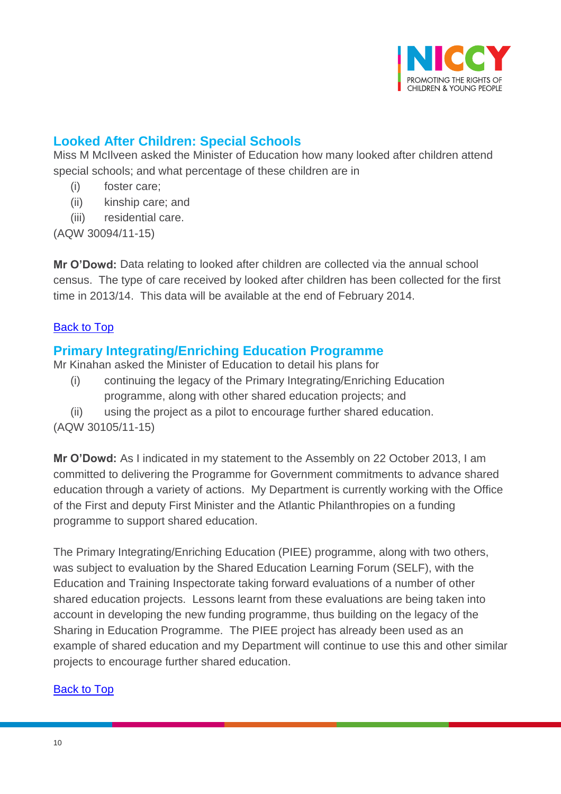

# **Looked After Children: Special Schools**

Miss M McIlveen asked the Minister of Education how many looked after children attend special schools; and what percentage of these children are in

- (i) foster care;
- (ii) kinship care; and
- (iii) residential care.

(AQW 30094/11-15)

**Mr O'Dowd:** Data relating to looked after children are collected via the annual school census. The type of care received by looked after children has been collected for the first time in 2013/14. This data will be available at the end of February 2014.

### [Back to Top](#page-0-0)

### <span id="page-9-0"></span>**Primary Integrating/Enriching Education Programme**

Mr Kinahan asked the Minister of Education to detail his plans for

- (i) continuing the legacy of the Primary Integrating/Enriching Education programme, along with other shared education projects; and
- (ii) using the project as a pilot to encourage further shared education.

(AQW 30105/11-15)

**Mr O'Dowd:** As I indicated in my statement to the Assembly on 22 October 2013, I am committed to delivering the Programme for Government commitments to advance shared education through a variety of actions. My Department is currently working with the Office of the First and deputy First Minister and the Atlantic Philanthropies on a funding programme to support shared education.

The Primary Integrating/Enriching Education (PIEE) programme, along with two others, was subject to evaluation by the Shared Education Learning Forum (SELF), with the Education and Training Inspectorate taking forward evaluations of a number of other shared education projects. Lessons learnt from these evaluations are being taken into account in developing the new funding programme, thus building on the legacy of the Sharing in Education Programme. The PIEE project has already been used as an example of shared education and my Department will continue to use this and other similar projects to encourage further shared education.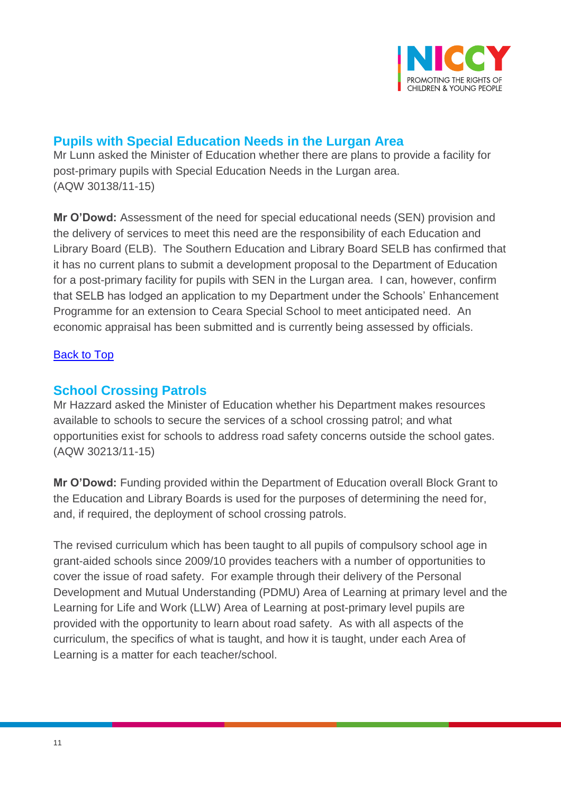

# <span id="page-10-0"></span>**Pupils with Special Education Needs in the Lurgan Area**

Mr Lunn asked the Minister of Education whether there are plans to provide a facility for post-primary pupils with Special Education Needs in the Lurgan area. (AQW 30138/11-15)

**Mr O'Dowd:** Assessment of the need for special educational needs (SEN) provision and the delivery of services to meet this need are the responsibility of each Education and Library Board (ELB). The Southern Education and Library Board SELB has confirmed that it has no current plans to submit a development proposal to the Department of Education for a post-primary facility for pupils with SEN in the Lurgan area. I can, however, confirm that SELB has lodged an application to my Department under the Schools' Enhancement Programme for an extension to Ceara Special School to meet anticipated need. An economic appraisal has been submitted and is currently being assessed by officials.

#### **[Back to Top](#page-0-0)**

### <span id="page-10-1"></span>**School Crossing Patrols**

Mr Hazzard asked the Minister of Education whether his Department makes resources available to schools to secure the services of a school crossing patrol; and what opportunities exist for schools to address road safety concerns outside the school gates. (AQW 30213/11-15)

**Mr O'Dowd:** Funding provided within the Department of Education overall Block Grant to the Education and Library Boards is used for the purposes of determining the need for, and, if required, the deployment of school crossing patrols.

The revised curriculum which has been taught to all pupils of compulsory school age in grant-aided schools since 2009/10 provides teachers with a number of opportunities to cover the issue of road safety. For example through their delivery of the Personal Development and Mutual Understanding (PDMU) Area of Learning at primary level and the Learning for Life and Work (LLW) Area of Learning at post-primary level pupils are provided with the opportunity to learn about road safety. As with all aspects of the curriculum, the specifics of what is taught, and how it is taught, under each Area of Learning is a matter for each teacher/school.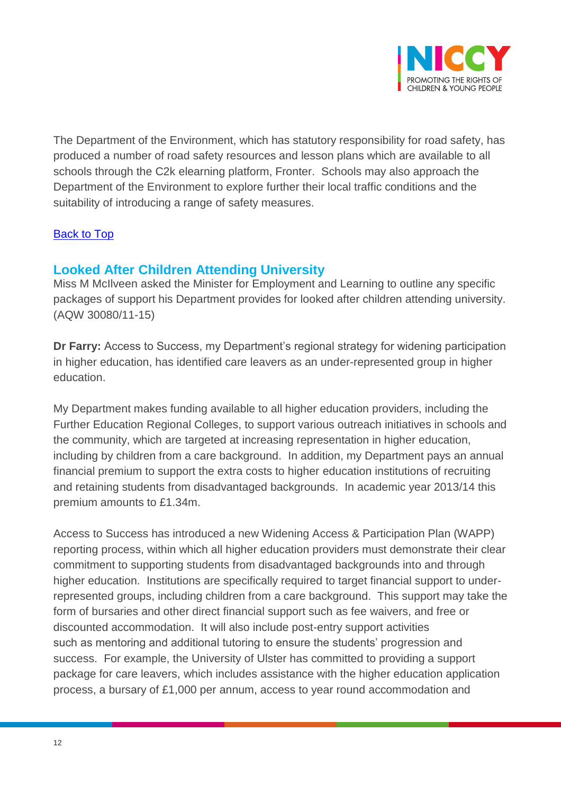

The Department of the Environment, which has statutory responsibility for road safety, has produced a number of road safety resources and lesson plans which are available to all schools through the C2k elearning platform, Fronter. Schools may also approach the Department of the Environment to explore further their local traffic conditions and the suitability of introducing a range of safety measures.

#### [Back to Top](#page-0-0)

### <span id="page-11-0"></span>**Looked After Children Attending University**

Miss M McIlveen asked the Minister for Employment and Learning to outline any specific packages of support his Department provides for looked after children attending university. (AQW 30080/11-15)

**Dr Farry:** Access to Success, my Department's regional strategy for widening participation in higher education, has identified care leavers as an under-represented group in higher education.

My Department makes funding available to all higher education providers, including the Further Education Regional Colleges, to support various outreach initiatives in schools and the community, which are targeted at increasing representation in higher education, including by children from a care background. In addition, my Department pays an annual financial premium to support the extra costs to higher education institutions of recruiting and retaining students from disadvantaged backgrounds. In academic year 2013/14 this premium amounts to £1.34m.

Access to Success has introduced a new Widening Access & Participation Plan (WAPP) reporting process, within which all higher education providers must demonstrate their clear commitment to supporting students from disadvantaged backgrounds into and through higher education. Institutions are specifically required to target financial support to underrepresented groups, including children from a care background. This support may take the form of bursaries and other direct financial support such as fee waivers, and free or discounted accommodation. It will also include post-entry support activities such as mentoring and additional tutoring to ensure the students' progression and success. For example, the University of Ulster has committed to providing a support package for care leavers, which includes assistance with the higher education application process, a bursary of £1,000 per annum, access to year round accommodation and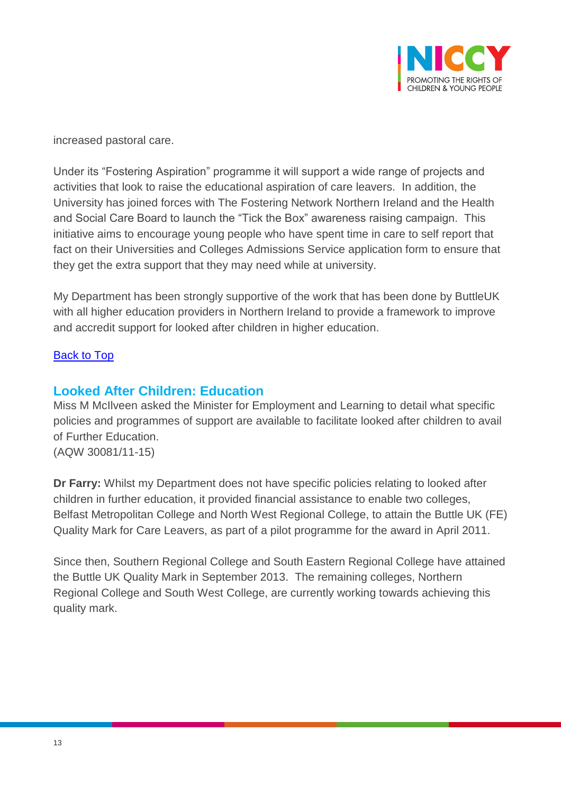

increased pastoral care.

Under its "Fostering Aspiration" programme it will support a wide range of projects and activities that look to raise the educational aspiration of care leavers. In addition, the University has joined forces with The Fostering Network Northern Ireland and the Health and Social Care Board to launch the "Tick the Box" awareness raising campaign. This initiative aims to encourage young people who have spent time in care to self report that fact on their Universities and Colleges Admissions Service application form to ensure that they get the extra support that they may need while at university.

My Department has been strongly supportive of the work that has been done by ButtleUK with all higher education providers in Northern Ireland to provide a framework to improve and accredit support for looked after children in higher education.

#### [Back to Top](#page-0-0)

### <span id="page-12-0"></span>**Looked After Children: Education**

Miss M McIlveen asked the Minister for Employment and Learning to detail what specific policies and programmes of support are available to facilitate looked after children to avail of Further Education.

(AQW 30081/11-15)

**Dr Farry:** Whilst my Department does not have specific policies relating to looked after children in further education, it provided financial assistance to enable two colleges, Belfast Metropolitan College and North West Regional College, to attain the Buttle UK (FE) Quality Mark for Care Leavers, as part of a pilot programme for the award in April 2011.

Since then, Southern Regional College and South Eastern Regional College have attained the Buttle UK Quality Mark in September 2013. The remaining colleges, Northern Regional College and South West College, are currently working towards achieving this quality mark.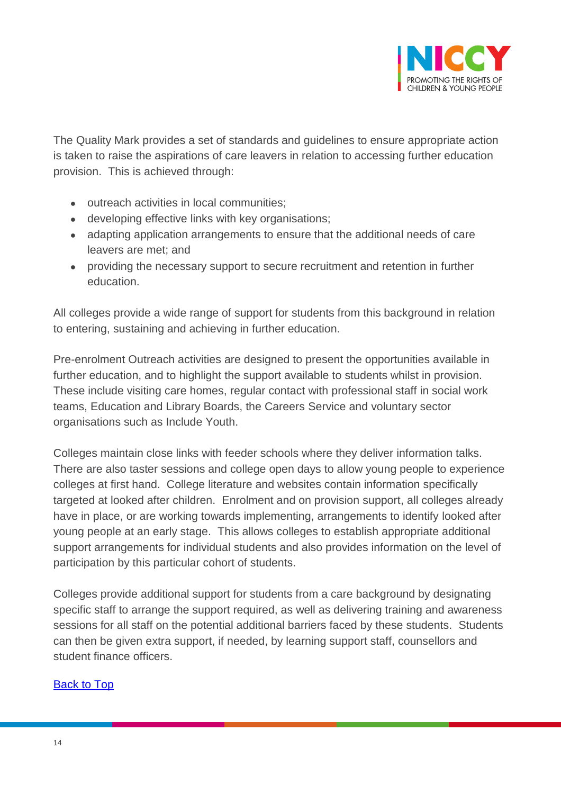

The Quality Mark provides a set of standards and guidelines to ensure appropriate action is taken to raise the aspirations of care leavers in relation to accessing further education provision. This is achieved through:

- outreach activities in local communities;
- developing effective links with key organisations;
- adapting application arrangements to ensure that the additional needs of care leavers are met; and
- providing the necessary support to secure recruitment and retention in further education.

All colleges provide a wide range of support for students from this background in relation to entering, sustaining and achieving in further education.

Pre-enrolment Outreach activities are designed to present the opportunities available in further education, and to highlight the support available to students whilst in provision. These include visiting care homes, regular contact with professional staff in social work teams, Education and Library Boards, the Careers Service and voluntary sector organisations such as Include Youth.

Colleges maintain close links with feeder schools where they deliver information talks. There are also taster sessions and college open days to allow young people to experience colleges at first hand. College literature and websites contain information specifically targeted at looked after children. Enrolment and on provision support, all colleges already have in place, or are working towards implementing, arrangements to identify looked after young people at an early stage. This allows colleges to establish appropriate additional support arrangements for individual students and also provides information on the level of participation by this particular cohort of students.

Colleges provide additional support for students from a care background by designating specific staff to arrange the support required, as well as delivering training and awareness sessions for all staff on the potential additional barriers faced by these students. Students can then be given extra support, if needed, by learning support staff, counsellors and student finance officers.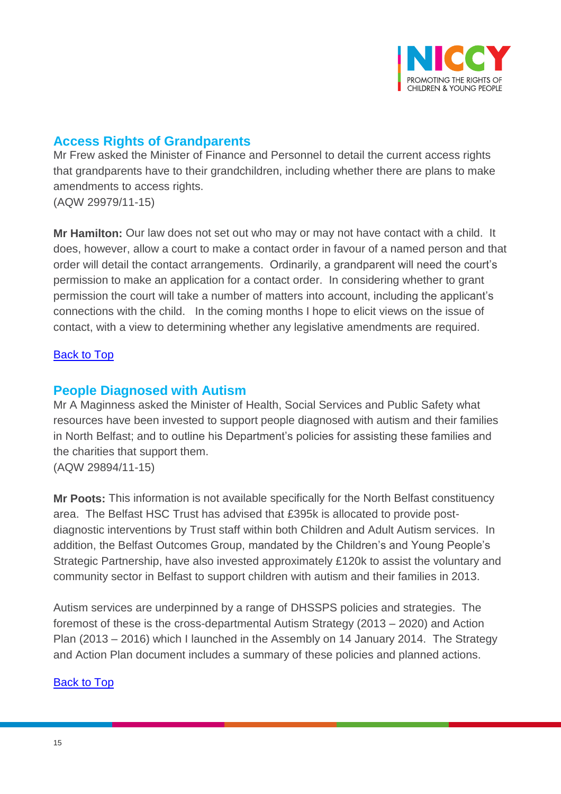

# <span id="page-14-0"></span>**Access Rights of Grandparents**

Mr Frew asked the Minister of Finance and Personnel to detail the current access rights that grandparents have to their grandchildren, including whether there are plans to make amendments to access rights. (AQW 29979/11-15)

**Mr Hamilton:** Our law does not set out who may or may not have contact with a child. It does, however, allow a court to make a contact order in favour of a named person and that order will detail the contact arrangements. Ordinarily, a grandparent will need the court's permission to make an application for a contact order. In considering whether to grant permission the court will take a number of matters into account, including the applicant's connections with the child. In the coming months I hope to elicit views on the issue of contact, with a view to determining whether any legislative amendments are required.

#### **[Back to Top](#page-0-0)**

### <span id="page-14-1"></span>**People Diagnosed with Autism**

Mr A Maginness asked the Minister of Health, Social Services and Public Safety what resources have been invested to support people diagnosed with autism and their families in North Belfast; and to outline his Department's policies for assisting these families and the charities that support them. (AQW 29894/11-15)

**Mr Poots:** This information is not available specifically for the North Belfast constituency area. The Belfast HSC Trust has advised that £395k is allocated to provide postdiagnostic interventions by Trust staff within both Children and Adult Autism services. In addition, the Belfast Outcomes Group, mandated by the Children's and Young People's Strategic Partnership, have also invested approximately £120k to assist the voluntary and community sector in Belfast to support children with autism and their families in 2013.

Autism services are underpinned by a range of DHSSPS policies and strategies. The foremost of these is the cross-departmental Autism Strategy (2013 – 2020) and Action Plan (2013 – 2016) which I launched in the Assembly on 14 January 2014. The Strategy and Action Plan document includes a summary of these policies and planned actions.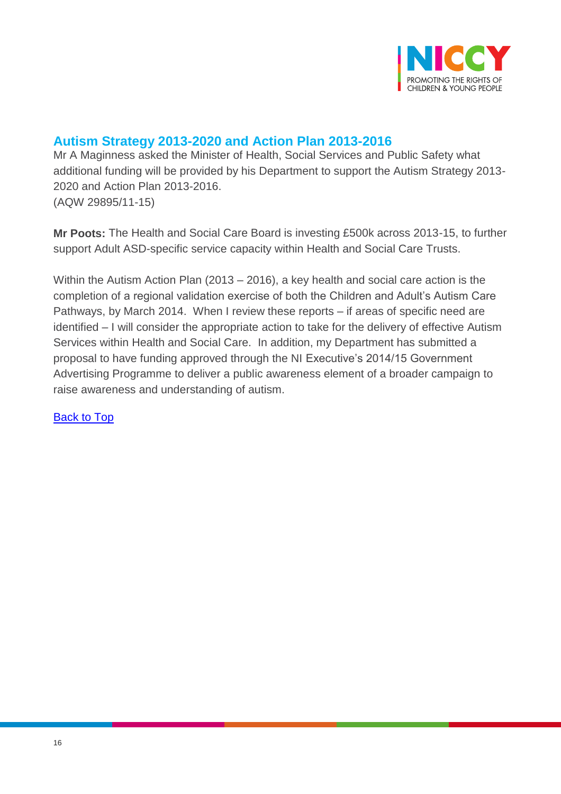

## <span id="page-15-0"></span>**Autism Strategy 2013-2020 and Action Plan 2013-2016**

Mr A Maginness asked the Minister of Health, Social Services and Public Safety what additional funding will be provided by his Department to support the Autism Strategy 2013- 2020 and Action Plan 2013-2016. (AQW 29895/11-15)

**Mr Poots:** The Health and Social Care Board is investing £500k across 2013-15, to further support Adult ASD-specific service capacity within Health and Social Care Trusts.

Within the Autism Action Plan (2013 – 2016), a key health and social care action is the completion of a regional validation exercise of both the Children and Adult's Autism Care Pathways, by March 2014. When I review these reports – if areas of specific need are identified – I will consider the appropriate action to take for the delivery of effective Autism Services within Health and Social Care. In addition, my Department has submitted a proposal to have funding approved through the NI Executive's 2014/15 Government Advertising Programme to deliver a public awareness element of a broader campaign to raise awareness and understanding of autism.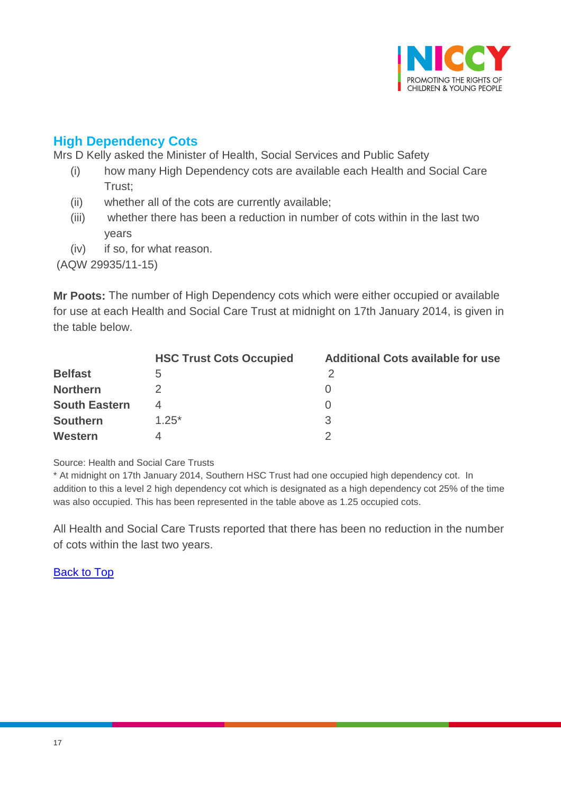

# <span id="page-16-0"></span>**High Dependency Cots**

Mrs D Kelly asked the Minister of Health, Social Services and Public Safety

- (i) how many High Dependency cots are available each Health and Social Care Trust;
- (ii) whether all of the cots are currently available;
- (iii) whether there has been a reduction in number of cots within in the last two years
- (iv) if so, for what reason.

(AQW 29935/11-15)

**Mr Poots:** The number of High Dependency cots which were either occupied or available for use at each Health and Social Care Trust at midnight on 17th January 2014, is given in the table below.

|                      | <b>HSC Trust Cots Occupied</b> | <b>Additional Cots available for use</b> |
|----------------------|--------------------------------|------------------------------------------|
| <b>Belfast</b>       |                                |                                          |
| <b>Northern</b>      |                                |                                          |
| <b>South Eastern</b> |                                |                                          |
| <b>Southern</b>      | $1.25*$                        | З                                        |
| Western              |                                |                                          |

Source: Health and Social Care Trusts

\* At midnight on 17th January 2014, Southern HSC Trust had one occupied high dependency cot. In addition to this a level 2 high dependency cot which is designated as a high dependency cot 25% of the time was also occupied. This has been represented in the table above as 1.25 occupied cots.

All Health and Social Care Trusts reported that there has been no reduction in the number of cots within the last two years.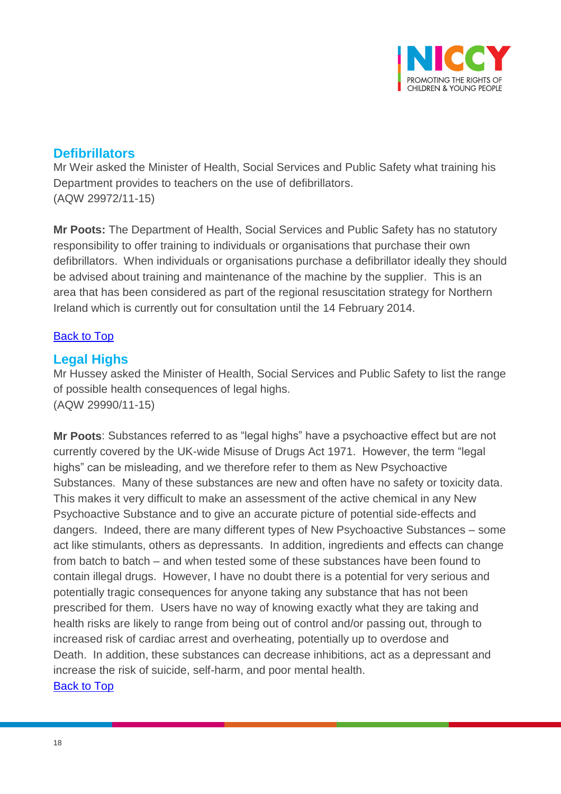

### <span id="page-17-0"></span>**Defibrillators**

Mr Weir asked the Minister of Health, Social Services and Public Safety what training his Department provides to teachers on the use of defibrillators. (AQW 29972/11-15)

**Mr Poots:** The Department of Health, Social Services and Public Safety has no statutory responsibility to offer training to individuals or organisations that purchase their own defibrillators. When individuals or organisations purchase a defibrillator ideally they should be advised about training and maintenance of the machine by the supplier. This is an area that has been considered as part of the regional resuscitation strategy for Northern Ireland which is currently out for consultation until the 14 February 2014.

#### [Back to Top](#page-0-0)

### <span id="page-17-1"></span>**Legal Highs**

Mr Hussey asked the Minister of Health, Social Services and Public Safety to list the range of possible health consequences of legal highs. (AQW 29990/11-15)

<span id="page-17-2"></span>**Mr Poots**: Substances referred to as "legal highs" have a psychoactive effect but are not currently covered by the UK-wide Misuse of Drugs Act 1971. However, the term "legal highs" can be misleading, and we therefore refer to them as New Psychoactive Substances. Many of these substances are new and often have no safety or toxicity data. This makes it very difficult to make an assessment of the active chemical in any New Psychoactive Substance and to give an accurate picture of potential side-effects and dangers. Indeed, there are many different types of New Psychoactive Substances – some act like stimulants, others as depressants. In addition, ingredients and effects can change from batch to batch – and when tested some of these substances have been found to contain illegal drugs. However, I have no doubt there is a potential for very serious and potentially tragic consequences for anyone taking any substance that has not been prescribed for them. Users have no way of knowing exactly what they are taking and health risks are likely to range from being out of control and/or passing out, through to increased risk of cardiac arrest and overheating, potentially up to overdose and Death. In addition, these substances can decrease inhibitions, act as a depressant and increase the risk of suicide, self-harm, and poor mental health. [Back to Top](#page-0-0)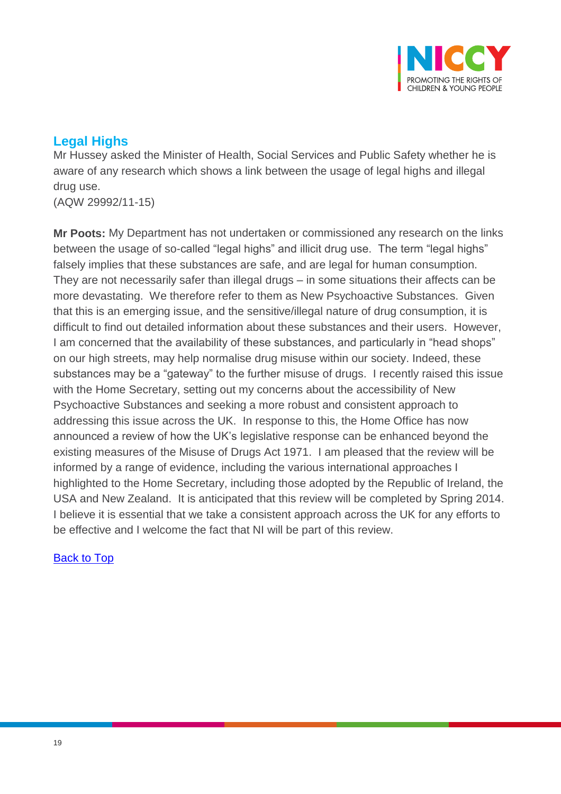

# **Legal Highs**

Mr Hussey asked the Minister of Health, Social Services and Public Safety whether he is aware of any research which shows a link between the usage of legal highs and illegal drug use.

(AQW 29992/11-15)

**Mr Poots:** My Department has not undertaken or commissioned any research on the links between the usage of so-called "legal highs" and illicit drug use. The term "legal highs" falsely implies that these substances are safe, and are legal for human consumption. They are not necessarily safer than illegal drugs – in some situations their affects can be more devastating. We therefore refer to them as New Psychoactive Substances. Given that this is an emerging issue, and the sensitive/illegal nature of drug consumption, it is difficult to find out detailed information about these substances and their users. However, I am concerned that the availability of these substances, and particularly in "head shops" on our high streets, may help normalise drug misuse within our society. Indeed, these substances may be a "gateway" to the further misuse of drugs. I recently raised this issue with the Home Secretary, setting out my concerns about the accessibility of New Psychoactive Substances and seeking a more robust and consistent approach to addressing this issue across the UK. In response to this, the Home Office has now announced a review of how the UK's legislative response can be enhanced beyond the existing measures of the Misuse of Drugs Act 1971. I am pleased that the review will be informed by a range of evidence, including the various international approaches I highlighted to the Home Secretary, including those adopted by the Republic of Ireland, the USA and New Zealand. It is anticipated that this review will be completed by Spring 2014. I believe it is essential that we take a consistent approach across the UK for any efforts to be effective and I welcome the fact that NI will be part of this review.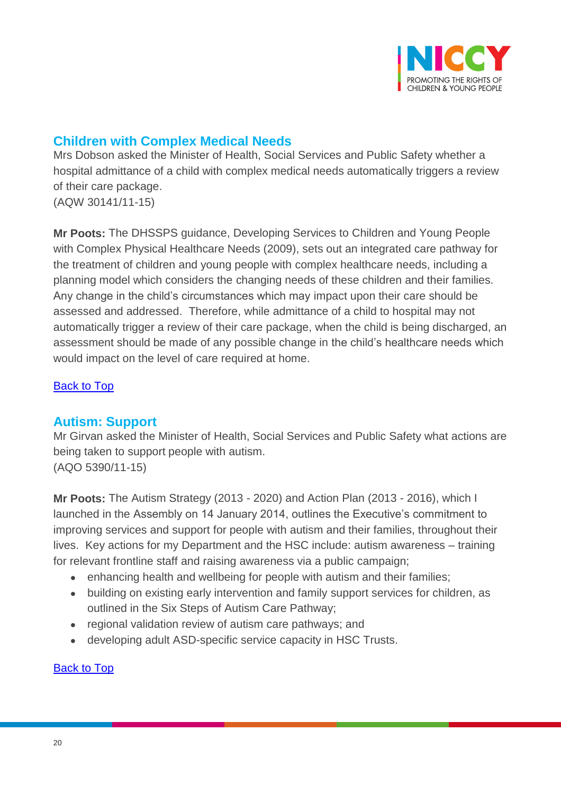

## <span id="page-19-0"></span>**Children with Complex Medical Needs**

Mrs Dobson asked the Minister of Health, Social Services and Public Safety whether a hospital admittance of a child with complex medical needs automatically triggers a review of their care package. (AQW 30141/11-15)

**Mr Poots:** The DHSSPS guidance, Developing Services to Children and Young People with Complex Physical Healthcare Needs (2009), sets out an integrated care pathway for the treatment of children and young people with complex healthcare needs, including a planning model which considers the changing needs of these children and their families. Any change in the child's circumstances which may impact upon their care should be assessed and addressed. Therefore, while admittance of a child to hospital may not automatically trigger a review of their care package, when the child is being discharged, an assessment should be made of any possible change in the child's healthcare needs which would impact on the level of care required at home.

#### **[Back to Top](#page-0-0)**

### <span id="page-19-1"></span>**Autism: Support**

Mr Girvan asked the Minister of Health, Social Services and Public Safety what actions are being taken to support people with autism. (AQO 5390/11-15)

**Mr Poots:** The Autism Strategy (2013 - 2020) and Action Plan (2013 - 2016), which I launched in the Assembly on 14 January 2014, outlines the Executive's commitment to improving services and support for people with autism and their families, throughout their lives. Key actions for my Department and the HSC include: autism awareness – training for relevant frontline staff and raising awareness via a public campaign;

- enhancing health and wellbeing for people with autism and their families;
- building on existing early intervention and family support services for children, as outlined in the Six Steps of Autism Care Pathway;
- regional validation review of autism care pathways; and
- developing adult ASD-specific service capacity in HSC Trusts.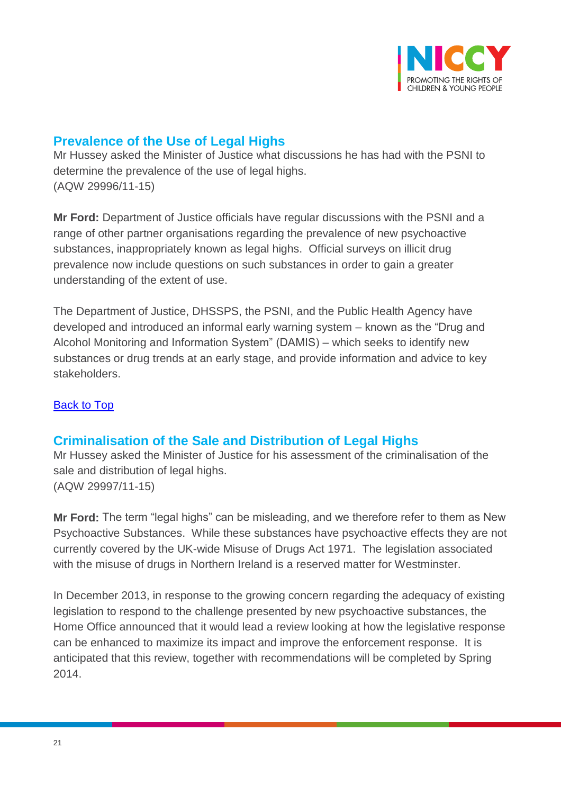

### <span id="page-20-0"></span>**Prevalence of the Use of Legal Highs**

Mr Hussey asked the Minister of Justice what discussions he has had with the PSNI to determine the prevalence of the use of legal highs. (AQW 29996/11-15)

**Mr Ford:** Department of Justice officials have regular discussions with the PSNI and a range of other partner organisations regarding the prevalence of new psychoactive substances, inappropriately known as legal highs. Official surveys on illicit drug prevalence now include questions on such substances in order to gain a greater understanding of the extent of use.

The Department of Justice, DHSSPS, the PSNI, and the Public Health Agency have developed and introduced an informal early warning system – known as the "Drug and Alcohol Monitoring and Information System" (DAMIS) – which seeks to identify new substances or drug trends at an early stage, and provide information and advice to key stakeholders.

#### **[Back to Top](#page-0-0)**

## <span id="page-20-1"></span>**Criminalisation of the Sale and Distribution of Legal Highs**

Mr Hussey asked the Minister of Justice for his assessment of the criminalisation of the sale and distribution of legal highs. (AQW 29997/11-15)

**Mr Ford:** The term "legal highs" can be misleading, and we therefore refer to them as New Psychoactive Substances. While these substances have psychoactive effects they are not currently covered by the UK-wide Misuse of Drugs Act 1971. The legislation associated with the misuse of drugs in Northern Ireland is a reserved matter for Westminster.

In December 2013, in response to the growing concern regarding the adequacy of existing legislation to respond to the challenge presented by new psychoactive substances, the Home Office announced that it would lead a review looking at how the legislative response can be enhanced to maximize its impact and improve the enforcement response. It is anticipated that this review, together with recommendations will be completed by Spring 2014.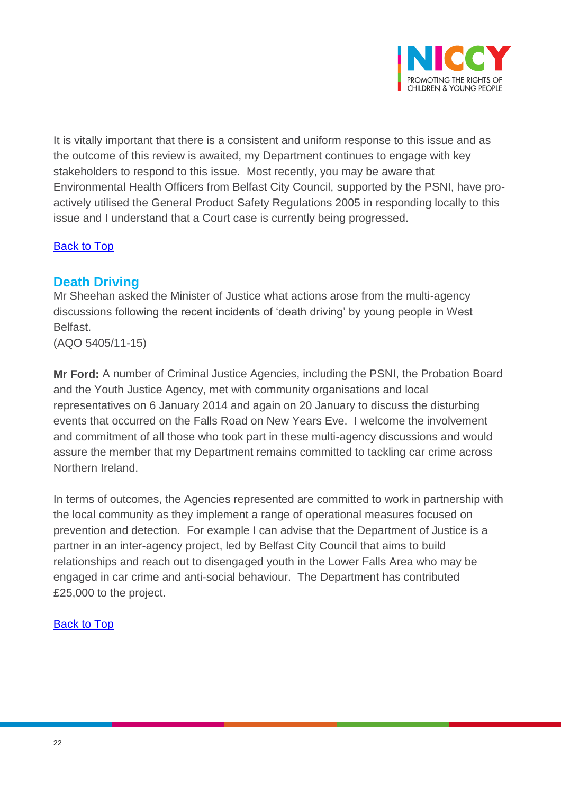

It is vitally important that there is a consistent and uniform response to this issue and as the outcome of this review is awaited, my Department continues to engage with key stakeholders to respond to this issue. Most recently, you may be aware that Environmental Health Officers from Belfast City Council, supported by the PSNI, have proactively utilised the General Product Safety Regulations 2005 in responding locally to this issue and I understand that a Court case is currently being progressed.

### [Back to Top](#page-0-0)

### <span id="page-21-0"></span>**Death Driving**

Mr Sheehan asked the Minister of Justice what actions arose from the multi-agency discussions following the recent incidents of 'death driving' by young people in West Belfast.

(AQO 5405/11-15)

**Mr Ford:** A number of Criminal Justice Agencies, including the PSNI, the Probation Board and the Youth Justice Agency, met with community organisations and local representatives on 6 January 2014 and again on 20 January to discuss the disturbing events that occurred on the Falls Road on New Years Eve. I welcome the involvement and commitment of all those who took part in these multi-agency discussions and would assure the member that my Department remains committed to tackling car crime across Northern Ireland.

In terms of outcomes, the Agencies represented are committed to work in partnership with the local community as they implement a range of operational measures focused on prevention and detection. For example I can advise that the Department of Justice is a partner in an inter-agency project, led by Belfast City Council that aims to build relationships and reach out to disengaged youth in the Lower Falls Area who may be engaged in car crime and anti-social behaviour. The Department has contributed £25,000 to the project.